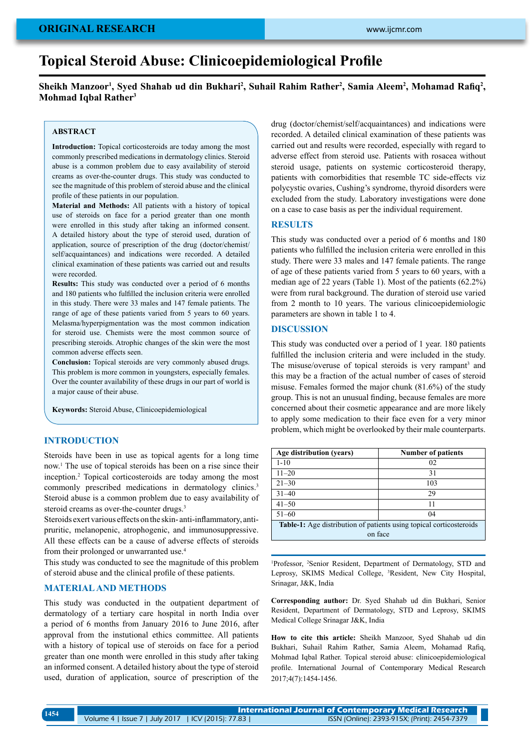# **original research**

# **Topical Steroid Abuse: Clinicoepidemiological Profile**

# Sheikh Manzoor<sup>1</sup>, Syed Shahab ud din Bukhari<sup>2</sup>, Suhail Rahim Rather<sup>2</sup>, Samia Aleem<sup>2</sup>, Mohamad Rafiq<sup>2</sup>, **Mohmad Iqbal Rather<sup>3</sup>**

# **ABSTRACT**

**Introduction:** Topical corticosteroids are today among the most commonly prescribed medications in dermatology clinics. Steroid abuse is a common problem due to easy availability of steroid creams as over-the-counter drugs. This study was conducted to see the magnitude of this problem of steroid abuse and the clinical profile of these patients in our population.

**Material and Methods:** All patients with a history of topical use of steroids on face for a period greater than one month were enrolled in this study after taking an informed consent. A detailed history about the type of steroid used, duration of application, source of prescription of the drug (doctor/chemist/ self/acquaintances) and indications were recorded. A detailed clinical examination of these patients was carried out and results were recorded.

**Results:** This study was conducted over a period of 6 months and 180 patients who fulfilled the inclusion criteria were enrolled in this study. There were 33 males and 147 female patients. The range of age of these patients varied from 5 years to 60 years. Melasma/hyperpigmentation was the most common indication for steroid use. Chemists were the most common source of prescribing steroids. Atrophic changes of the skin were the most common adverse effects seen.

**Conclusion:** Topical steroids are very commonly abused drugs. This problem is more common in youngsters, especially females. Over the counter availability of these drugs in our part of world is a major cause of their abuse.

**Keywords:** Steroid Abuse, Clinicoepidemiological

## **Introduction**

Steroids have been in use as topical agents for a long time now.1 The use of topical steroids has been on a rise since their inception.2 Topical corticosteroids are today among the most commonly prescribed medications in dermatology clinics.<sup>3</sup> Steroid abuse is a common problem due to easy availability of steroid creams as over-the-counter drugs.<sup>3</sup>

Steroids exert various effects on the skin- anti-inflammatory, antipruritic, melanopenic, atrophogenic, and immunosuppressive. All these effects can be a cause of adverse effects of steroids from their prolonged or unwarranted use.4

This study was conducted to see the magnitude of this problem of steroid abuse and the clinical profile of these patients.

## **Material and Methods**

This study was conducted in the outpatient department of dermatology of a tertiary care hospital in north India over a period of 6 months from January 2016 to June 2016, after approval from the instutional ethics committee. All patients with a history of topical use of steroids on face for a period greater than one month were enrolled in this study after taking an informed consent. A detailed history about the type of steroid used, duration of application, source of prescription of the drug (doctor/chemist/self/acquaintances) and indications were recorded. A detailed clinical examination of these patients was carried out and results were recorded, especially with regard to adverse effect from steroid use. Patients with rosacea without steroid usage, patients on systemic corticosteroid therapy, patients with comorbidities that resemble TC side-effects viz polycystic ovaries, Cushing's syndrome, thyroid disorders were excluded from the study. Laboratory investigations were done on a case to case basis as per the individual requirement.

#### **Results**

This study was conducted over a period of 6 months and 180 patients who fulfilled the inclusion criteria were enrolled in this study. There were 33 males and 147 female patients. The range of age of these patients varied from 5 years to 60 years, with a median age of 22 years (Table 1). Most of the patients (62.2%) were from rural background. The duration of steroid use varied from 2 month to 10 years. The various clinicoepidemiologic parameters are shown in table 1 to 4.

## **Discussion**

This study was conducted over a period of 1 year. 180 patients fulfilled the inclusion criteria and were included in the study. The misuse/overuse of topical steroids is very rampant<sup>3</sup> and this may be a fraction of the actual number of cases of steroid misuse. Females formed the major chunk (81.6%) of the study group. This is not an unusual finding, because females are more concerned about their cosmetic appearance and are more likely to apply some medication to their face even for a very minor problem, which might be overlooked by their male counterparts.

| Age distribution (years)                                            | <b>Number of patients</b> |  |  |
|---------------------------------------------------------------------|---------------------------|--|--|
| $1 - 10$                                                            | 02                        |  |  |
| $11 - 20$                                                           | 31                        |  |  |
| $21 - 30$                                                           | 103                       |  |  |
| $31 - 40$                                                           | 29                        |  |  |
| $41 - 50$                                                           | 11                        |  |  |
| $51 - 60$                                                           | 04                        |  |  |
| Table-1: Age distribution of patients using topical corticosteroids |                           |  |  |
| on face                                                             |                           |  |  |

<sup>1</sup>Professor, <sup>2</sup>Senior Resident, Department of Dermatology, STD and Leprosy, SKIMS Medical College, <sup>3</sup>Resident, New City Hospital, Srinagar, J&K, India

**Corresponding author:** Dr. Syed Shahab ud din Bukhari, Senior Resident, Department of Dermatology, STD and Leprosy, SKIMS Medical College Srinagar J&K, India

**How to cite this article:** Sheikh Manzoor, Syed Shahab ud din Bukhari, Suhail Rahim Rather, Samia Aleem, Mohamad Rafiq, Mohmad Iqbal Rather. Topical steroid abuse: clinicoepidemiological profile. International Journal of Contemporary Medical Research 2017;4(7):1454-1456.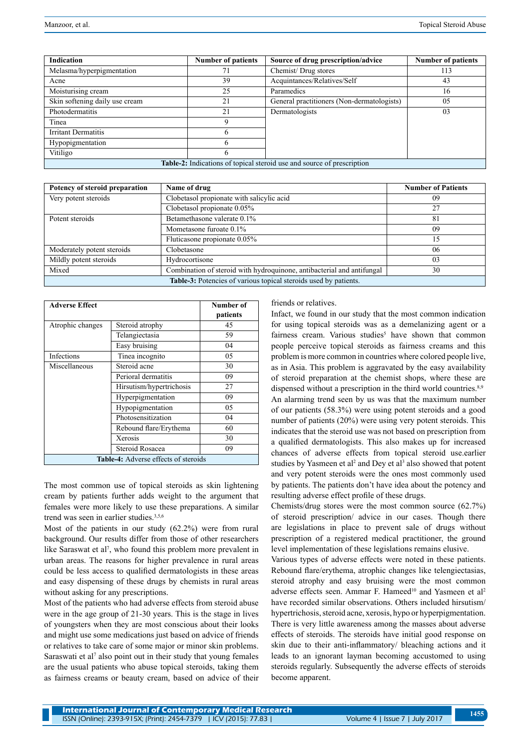| <b>Indication</b>                                                             | <b>Number of patients</b> | Source of drug prescription/advice         | <b>Number of patients</b> |  |
|-------------------------------------------------------------------------------|---------------------------|--------------------------------------------|---------------------------|--|
| Melasma/hyperpigmentation                                                     | 71                        | Chemist/Drug stores<br>113                 |                           |  |
| Acne                                                                          | 39                        | Acquintances/Relatives/Self<br>43          |                           |  |
| Moisturising cream                                                            | 25                        | Paramedics                                 | 16                        |  |
| Skin softening daily use cream                                                | 21                        | General practitioners (Non-dermatologists) | 05                        |  |
| Photodermatitis                                                               | 21                        | Dermatologists                             | 03                        |  |
| Tinea                                                                         | Q                         |                                            |                           |  |
| Irritant Dermatitis                                                           | h                         |                                            |                           |  |
| Hypopigmentation                                                              | h                         |                                            |                           |  |
| Vitiligo                                                                      | O                         |                                            |                           |  |
| <b>Table 2:</b> Indications of topical steroid use and source of prescription |                           |                                            |                           |  |

| Potency of steroid preparation                                   | Name of drug                                                           | <b>Number of Patients</b> |  |
|------------------------------------------------------------------|------------------------------------------------------------------------|---------------------------|--|
| Very potent steroids                                             | Clobetasol propionate with salicylic acid                              | 09                        |  |
|                                                                  | Clobetasol propionate 0.05%                                            | 27                        |  |
| Potent steroids                                                  | Betamethasone valerate 0.1%                                            | 81                        |  |
|                                                                  | Mometasone furoate $0.1\%$                                             | 09                        |  |
|                                                                  | Fluticasone propionate 0.05%                                           | 15                        |  |
| Moderately potent steroids                                       | Clobetasone                                                            | 06                        |  |
| Mildly potent steroids                                           | Hydrocortisone                                                         | 03                        |  |
| Mixed                                                            | Combination of steroid with hydroquinone, antibacterial and antifungal | 30                        |  |
| Table-3: Potencies of various topical steroids used by patients. |                                                                        |                           |  |

| <b>Adverse Effect</b>                       |                          | Number of<br>patients |  |
|---------------------------------------------|--------------------------|-----------------------|--|
| Atrophic changes                            | Steroid atrophy          | 45                    |  |
|                                             | Telangiectasia           | 59                    |  |
|                                             | Easy bruising            | 04                    |  |
| Infections                                  | Tinea incognito          | 05                    |  |
| Miscellaneous                               | Steroid acne             | 30                    |  |
|                                             | Perioral dermatitis      | 09                    |  |
|                                             | Hirsutism/hypertrichosis | 27                    |  |
|                                             | Hyperpigmentation        | 09                    |  |
|                                             | Hypopigmentation         | 05                    |  |
|                                             | Photosensitization       | 04                    |  |
|                                             | Rebound flare/Erythema   | 60                    |  |
|                                             | Xerosis                  | 30                    |  |
|                                             | Steroid Rosacea          | 09                    |  |
| <b>Table-4:</b> Adverse effects of steroids |                          |                       |  |

The most common use of topical steroids as skin lightening cream by patients further adds weight to the argument that females were more likely to use these preparations. A similar trend was seen in earlier studies.<sup>3,5,6</sup>

Most of the patients in our study (62.2%) were from rural background. Our results differ from those of other researchers like Saraswat et al<sup>7</sup>, who found this problem more prevalent in urban areas. The reasons for higher prevalence in rural areas could be less access to qualified dermatologists in these areas and easy dispensing of these drugs by chemists in rural areas without asking for any prescriptions.

Most of the patients who had adverse effects from steroid abuse were in the age group of 21-30 years. This is the stage in lives of youngsters when they are most conscious about their looks and might use some medications just based on advice of friends or relatives to take care of some major or minor skin problems. Saraswati et al<sup>7</sup> also point out in their study that young females are the usual patients who abuse topical steroids, taking them as fairness creams or beauty cream, based on advice of their

#### friends or relatives.

Infact, we found in our study that the most common indication for using topical steroids was as a demelanizing agent or a fairness cream. Various studies<sup>5</sup> have shown that common people perceive topical steroids as fairness creams and this problem is more common in countries where colored people live, as in Asia. This problem is aggravated by the easy availability of steroid preparation at the chemist shops, where these are dispensed without a prescription in the third world countries.<sup>8,9</sup> An alarming trend seen by us was that the maximum number of our patients (58.3%) were using potent steroids and a good number of patients (20%) were using very potent steroids. This indicates that the steroid use was not based on prescription from a qualified dermatologists. This also makes up for increased chances of adverse effects from topical steroid use.earlier studies by Yasmeen et al<sup>2</sup> and Dey et al<sup>3</sup> also showed that potent and very potent steroids were the ones most commonly used by patients. The patients don't have idea about the potency and resulting adverse effect profile of these drugs.

Chemists/drug stores were the most common source (62.7%) of steroid prescription/ advice in our cases. Though there are legislations in place to prevent sale of drugs without prescription of a registered medical practitioner, the ground level implementation of these legislations remains elusive.

Various types of adverse effects were noted in these patients. Rebound flare/erythema, atrophic changes like telengiectasias, steroid atrophy and easy bruising were the most common adverse effects seen. Ammar F. Hameed<sup>10</sup> and Yasmeen et al<sup>2</sup> have recorded similar observations. Others included hirsutism/ hypertrichosis, steroid acne, xerosis, hypo or hyperpigmentation. There is very little awareness among the masses about adverse effects of steroids. The steroids have initial good response on skin due to their anti-inflammatory/ bleaching actions and it leads to an ignorant layman becoming accustomed to using steroids regularly. Subsequently the adverse effects of steroids become apparent.